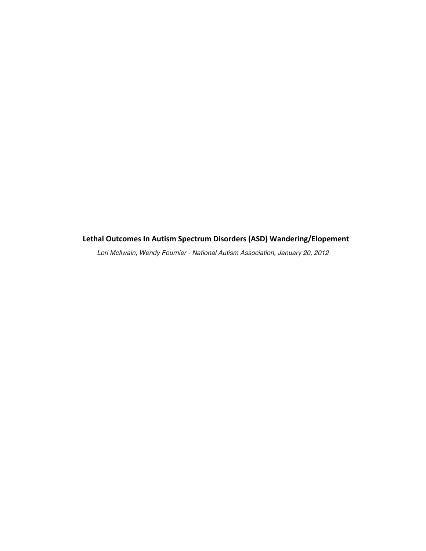# Lethal Outcomes In Autism Spectrum Disorders (ASD) Wandering/Elopement

*Lori McIlwain, Wendy Fournier - National Autism Association, January 20, 2012*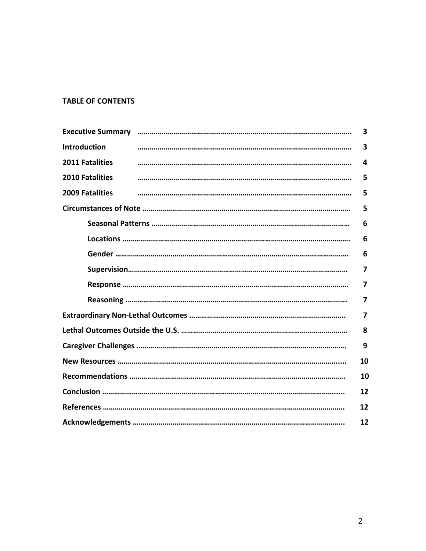# **TABLE OF CONTENTS**

|                        |  | 3 |  |  |  |
|------------------------|--|---|--|--|--|
| <b>Introduction</b>    |  | 3 |  |  |  |
| <b>2011 Fatalities</b> |  | 4 |  |  |  |
| <b>2010 Fatalities</b> |  | 5 |  |  |  |
| <b>2009 Fatalities</b> |  | 5 |  |  |  |
| 5                      |  |   |  |  |  |
|                        |  | 6 |  |  |  |
|                        |  | 6 |  |  |  |
| 6                      |  |   |  |  |  |
| 7                      |  |   |  |  |  |
| 7                      |  |   |  |  |  |
| 7                      |  |   |  |  |  |
| 7                      |  |   |  |  |  |
| 8                      |  |   |  |  |  |
|                        |  |   |  |  |  |
| 10                     |  |   |  |  |  |
| 10                     |  |   |  |  |  |
| 12                     |  |   |  |  |  |
| 12                     |  |   |  |  |  |
| 12                     |  |   |  |  |  |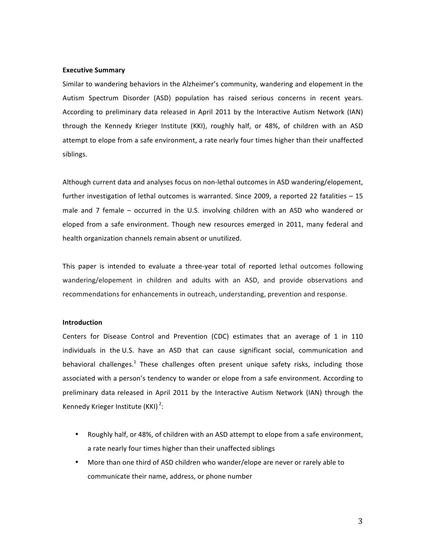#### **Executive Summary**

Similar to wandering behaviors in the Alzheimer's community, wandering and elopement in the Autism Spectrum Disorder (ASD) population has raised serious concerns in recent years. According to preliminary data released in April 2011 by the Interactive Autism Network (IAN) through the Kennedy Krieger Institute (KKI), roughly half, or 48%, of children with an ASD attempt to elope from a safe environment, a rate nearly four times higher than their unaffected siblings.

Although current data and analyses focus on non-lethal outcomes in ASD wandering/elopement, further investigation of lethal outcomes is warranted. Since 2009, a reported 22 fatalities – 15 male and 7 female – occurred in the U.S. involving children with an ASD who wandered or eloped from a safe environment. Though new resources emerged in 2011, many federal and health organization channels remain absent or unutilized.

This paper is intended to evaluate a three-year total of reported lethal outcomes following wandering/elopement in children and adults with an ASD, and provide observations and recommendations for enhancements in outreach, understanding, prevention and response.

#### **Introduction**

Centers for Disease Control and Prevention (CDC) estimates that an average of 1 in 110 individuals in the U.S. have an ASD that can cause significant social, communication and behavioral challenges.<sup>1</sup> These challenges often present unique safety risks, including those associated with a person's tendency to wander or elope from a safe environment. According to preliminary data released in April 2011 by the Interactive Autism Network (IAN) through the Kennedy Krieger Institute (KKI)<sup>2</sup>:

- Roughly half, or 48%, of children with an ASD attempt to elope from a safe environment, a rate nearly four times higher than their unaffected siblings
- More than one third of ASD children who wander/elope are never or rarely able to communicate their name, address, or phone number

3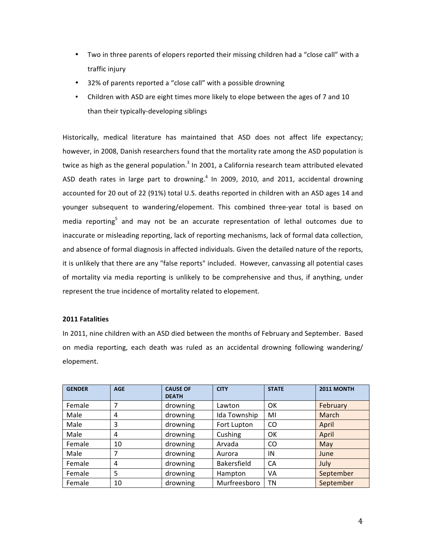- Two in three parents of elopers reported their missing children had a "close call" with a traffic injury
- 32% of parents reported a "close call" with a possible drowning
- Children with ASD are eight times more likely to elope between the ages of 7 and 10 than their typically-developing siblings

Historically, medical literature has maintained that ASD does not affect life expectancy; however, in 2008, Danish researchers found that the mortality rate among the ASD population is twice as high as the general population.<sup>3</sup> In 2001, a California research team attributed elevated ASD death rates in large part to drowning.<sup>4</sup> In 2009, 2010, and 2011, accidental drowning accounted for 20 out of 22 (91%) total U.S. deaths reported in children with an ASD ages 14 and younger subsequent to wandering/elopement. This combined three-year total is based on media reporting<sup>5</sup> and may not be an accurate representation of lethal outcomes due to inaccurate or misleading reporting, lack of reporting mechanisms, lack of formal data collection, and absence of formal diagnosis in affected individuals. Given the detailed nature of the reports, it is unlikely that there are any "false reports" included. However, canvassing all potential cases of mortality via media reporting is unlikely to be comprehensive and thus, if anything, under represent the true incidence of mortality related to elopement.

# **2011 Fatalities**

In 2011, nine children with an ASD died between the months of February and September. Based on media reporting, each death was ruled as an accidental drowning following wandering/ elopement.

| <b>GENDER</b> | <b>AGE</b> | <b>CAUSE OF</b><br><b>DEATH</b> | <b>CITY</b>        | <b>STATE</b> | 2011 MONTH   |
|---------------|------------|---------------------------------|--------------------|--------------|--------------|
| Female        | 7          | drowning                        | Lawton             | OK           | February     |
| Male          | 4          | drowning                        | Ida Township       | MI           | <b>March</b> |
| Male          | 3          | drowning                        | Fort Lupton        | CO           | April        |
| Male          | 4          | drowning                        | Cushing            | OK           | April        |
| Female        | 10         | drowning                        | Arvada             | CO           | May          |
| Male          | 7          | drowning                        | Aurora             | IN           | June         |
| Female        | 4          | drowning                        | <b>Bakersfield</b> | CA           | July         |
| Female        | 5          | drowning                        | Hampton            | VA           | September    |
| Female        | 10         | drowning                        | Murfreesboro       | ΤN           | September    |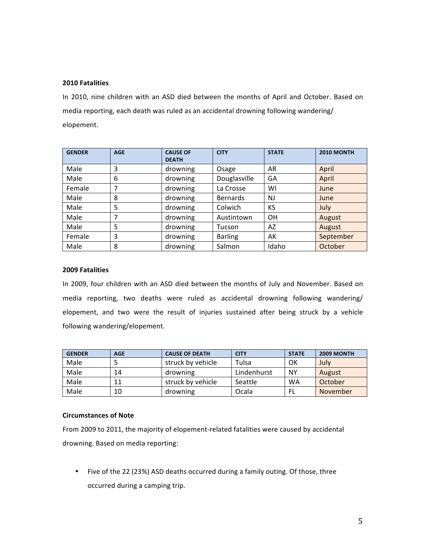## **2010!Fatalities**

In 2010, nine children with an ASD died between the months of April and October. Based on media reporting, each death was ruled as an accidental drowning following wandering/ elopement.

| <b>GENDER</b> | <b>AGE</b> | <b>CAUSE OF</b><br><b>DEATH</b> | <b>CITY</b>     | <b>STATE</b> | <b>2010 MONTH</b> |
|---------------|------------|---------------------------------|-----------------|--------------|-------------------|
| Male          | 3          | drowning                        | Osage           | AR           | April             |
| Male          | 6          | drowning                        | Douglasville    | GA           | April             |
| Female        | ⇁          | drowning                        | La Crosse       | WI           | June              |
| Male          | 8          | drowning                        | <b>Bernards</b> | <b>NJ</b>    | June              |
| Male          | 5          | drowning                        | Colwich         | KS           | July              |
| Male          | 7          | drowning                        | Austintown      | <b>OH</b>    | August            |
| Male          | 5          | drowning                        | Tucson          | AZ           | August            |
| Female        | 3          | drowning                        | <b>Barling</b>  | AK           | September         |
| Male          | 8          | drowning                        | Salmon          | Idaho        | October           |

## **2009!Fatalities**

In 2009, four children with an ASD died between the months of July and November. Based on media reporting, two deaths were ruled as accidental drowning following wandering/ elopement, and two were the result of injuries sustained after being struck by a vehicle following wandering/elopement.

| <b>GENDER</b> | <b>AGE</b> | <b>CAUSE OF DEATH</b> | <b>CITY</b> | <b>STATE</b> | <b>2009 MONTH</b> |
|---------------|------------|-----------------------|-------------|--------------|-------------------|
| Male          |            | struck by vehicle     | Tulsa       | OK           | July              |
| Male          | 14         | drowning              | Lindenhurst | ΝY           | August            |
| Male          |            | struck by vehicle     | Seattle     | <b>WA</b>    | October           |
| Male          | 10         | drowning              | Ocala       | FL           | November          |

# **Circumstances!of!Note**

From 2009 to 2011, the majority of elopement-related fatalities were caused by accidental drowning. Based on media reporting:

• Five of the 22 (23%) ASD deaths occurred during a family outing. Of those, three occurred during a camping trip.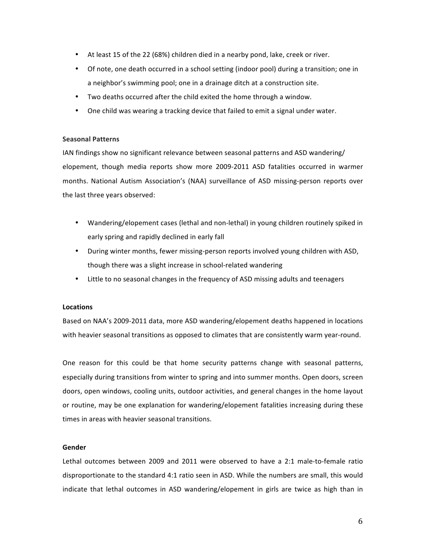- At least 15 of the 22 (68%) children died in a nearby pond, lake, creek or river.
- Of note, one death occurred in a school setting (indoor pool) during a transition; one in a neighbor's swimming pool; one in a drainage ditch at a construction site.
- Two deaths occurred after the child exited the home through a window.
- One child was wearing a tracking device that failed to emit a signal under water.

#### **Seasonal Patterns**

IAN findings show no significant relevance between seasonal patterns and ASD wandering/ elopement, though media reports show more 2009-2011 ASD fatalities occurred in warmer months. National Autism Association's (NAA) surveillance of ASD missing-person reports over the last three years observed:

- Wandering/elopement cases (lethal and non-lethal) in young children routinely spiked in early spring and rapidly declined in early fall
- During winter months, fewer missing-person reports involved young children with ASD, though there was a slight increase in school-related wandering
- Little to no seasonal changes in the frequency of ASD missing adults and teenagers

## **Locations**

Based on NAA's 2009-2011 data, more ASD wandering/elopement deaths happened in locations with heavier seasonal transitions as opposed to climates that are consistently warm year-round.

One reason for this could be that home security patterns change with seasonal patterns, especially during transitions from winter to spring and into summer months. Open doors, screen doors, open windows, cooling units, outdoor activities, and general changes in the home layout or routine, may be one explanation for wandering/elopement fatalities increasing during these times in areas with heavier seasonal transitions.

## **Gender**

Lethal outcomes between 2009 and 2011 were observed to have a 2:1 male-to-female ratio disproportionate to the standard 4:1 ratio seen in ASD. While the numbers are small, this would indicate that lethal outcomes in ASD wandering/elopement in girls are twice as high than in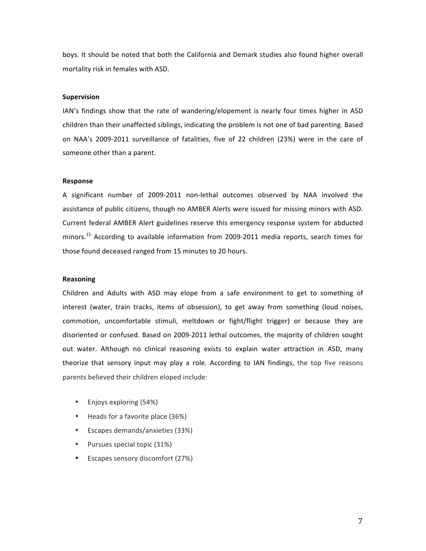boys. It should be noted that both the California and Demark studies also found higher overall mortality risk in females with ASD.

#### **Supervision**

IAN's findings show that the rate of wandering/elopement is nearly four times higher in ASD children than their unaffected siblings, indicating the problem is not one of bad parenting. Based on NAA's 2009-2011 surveillance of fatalities, five of 22 children (23%) were in the care of someone other than a parent.

### **Response**

A significant number of 2009-2011 non-lethal outcomes observed by NAA involved the assistance of public citizens, though no AMBER Alerts were issued for missing minors with ASD. Current federal AMBER Alert guidelines reserve this emergency response system for abducted minors.<sup>15</sup> According to available information from 2009-2011 media reports, search times for those found deceased ranged from 15 minutes to 20 hours.

#### **Reasoning**

Children and Adults with ASD may elope from a safe environment to get to something of interest (water, train tracks, items of obsession), to get away from something (loud noises, commotion, uncomfortable stimuli, meltdown or fight/flight trigger) or because they are disoriented or confused. Based on 2009-2011 lethal outcomes, the majority of children sought out water. Although no clinical reasoning exists to explain water attraction in ASD, many theorize that sensory input may play a role. According to IAN findings, the top five reasons parents believed their children eloped include:

- Enjoys exploring (54%)
- Heads for a favorite place (36%)
- Escapes demands/anxieties (33%)
- Pursues special topic (31%)
- Escapes sensory discomfort (27%)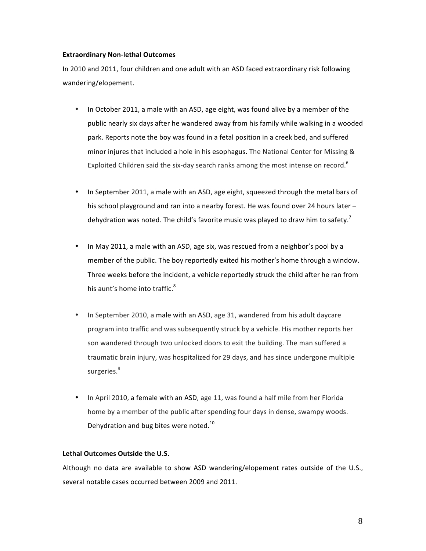## **Extraordinary Non-lethal Outcomes**

In 2010 and 2011, four children and one adult with an ASD faced extraordinary risk following wandering/elopement.'

- In October 2011, a male with an ASD, age eight, was found alive by a member of the public nearly six days after he wandered away from his family while walking in a wooded park. Reports note the boy was found in a fetal position in a creek bed, and suffered minor injures that included a hole in his esophagus. The National Center for Missing & Exploited Children said the six-day search ranks among the most intense on record.<sup>6</sup>
- In September 2011, a male with an ASD, age eight, squeezed through the metal bars of his school playground and ran into a nearby forest. He was found over 24 hours later – dehydration was noted. The child's favorite music was played to draw him to safety.<sup>7</sup>
- In May 2011, a male with an ASD, age six, was rescued from a neighbor's pool by a member of the public. The boy reportedly exited his mother's home through a window. Three weeks before the incident, a vehicle reportedly struck the child after he ran from his aunt's home into traffic.<sup>8</sup>
- In September 2010, a male with an ASD, age 31, wandered from his adult daycare program into traffic and was subsequently struck by a vehicle. His mother reports her son wandered through two unlocked doors to exit the building. The man suffered a traumatic brain injury, was hospitalized for 29 days, and has since undergone multiple surgeries.<sup>9</sup>
- In April 2010, a female with an ASD, age 11, was found a half mile from her Florida home by a member of the public after spending four days in dense, swampy woods. Dehydration and bug bites were noted.<sup>10</sup>

## Lethal Outcomes Outside the U.S.

Although no data are available to show ASD wandering/elopement rates outside of the U.S., several notable cases occurred between 2009 and 2011.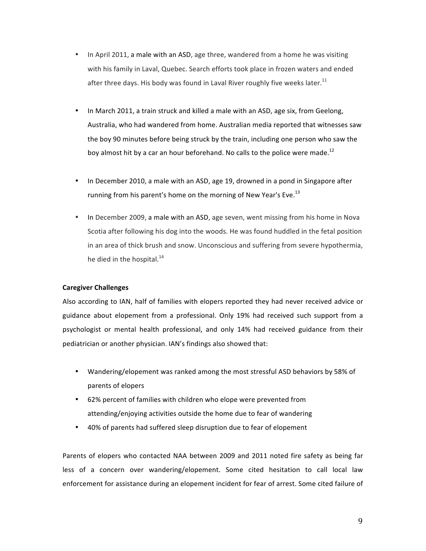- In April 2011, a male with an ASD, age three, wandered from a home he was visiting with his family in Laval, Quebec. Search efforts took place in frozen waters and ended after three days. His body was found in Laval River roughly five weeks later.<sup>11</sup>
- In March 2011, a train struck and killed a male with an ASD, age six, from Geelong, Australia, who had wandered from home. Australian media reported that witnesses saw the boy 90 minutes before being struck by the train, including one person who saw the boy almost hit by a car an hour beforehand. No calls to the police were made.<sup>12</sup>
- In December 2010, a male with an ASD, age 19, drowned in a pond in Singapore after running from his parent's home on the morning of New Year's Eve.<sup>13</sup>
- In December 2009, a male with an ASD, age seven, went missing from his home in Nova Scotia after following his dog into the woods. He was found huddled in the fetal position in an area of thick brush and snow. Unconscious and suffering from severe hypothermia, he died in the hospital.<sup>14</sup>

# **Caregiver!Challenges**

Also according to IAN, half of families with elopers reported they had never received advice or guidance about elopement from a professional. Only 19% had received such support from a psychologist or mental health professional, and only 14% had received guidance from their pediatrician or another physician. IAN's findings also showed that:

- Wandering/elopement was ranked among the most stressful ASD behaviors by 58% of parents of elopers
- 62% percent of families with children who elope were prevented from attending/enjoying activities outside the home due to fear of wandering
- 40% of parents had suffered sleep disruption due to fear of elopement

Parents of elopers who contacted NAA between 2009 and 2011 noted fire safety as being far less of a concern over wandering/elopement. Some cited hesitation to call local law enforcement for assistance during an elopement incident for fear of arrest. Some cited failure of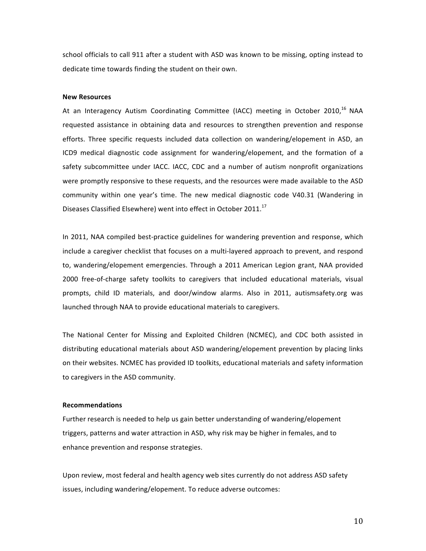school officials to call 911 after a student with ASD was known to be missing, opting instead to dedicate time towards finding the student on their own.

#### **New!Resources**

At an Interagency Autism Coordinating Committee (IACC) meeting in October 2010,<sup>16</sup> NAA requested assistance in obtaining data and resources to strengthen prevention and response efforts. Three specific requests included data collection on wandering/elopement in ASD, an ICD9 medical diagnostic code assignment for wandering/elopement, and the formation of a safety subcommittee under IACC. IACC, CDC and a number of autism nonprofit organizations were promptly responsive to these requests, and the resources were made available to the ASD community within one year's time. The new medical diagnostic code V40.31 (Wandering in Diseases Classified Elsewhere) went into effect in October 2011.<sup>17</sup>

In 2011, NAA compiled best-practice guidelines for wandering prevention and response, which include a caregiver checklist that focuses on a multi-layered approach to prevent, and respond to, wandering/elopement emergencies. Through a 2011 American Legion grant, NAA provided 2000 free-of-charge safety toolkits to caregivers that included educational materials, visual prompts, child ID materials, and door/window alarms. Also in 2011, autismsafety.org was launched through NAA to provide educational materials to caregivers.

The National Center for Missing and Exploited Children (NCMEC), and CDC both assisted in distributing educational materials about ASD wandering/elopement prevention by placing links on their websites. NCMEC has provided ID toolkits, educational materials and safety information to caregivers in the ASD community.

#### **Recommendations**

Further research is needed to help us gain better understanding of wandering/elopement triggers, patterns and water attraction in ASD, why risk may be higher in females, and to enhance prevention and response strategies.

Upon review, most federal and health agency web sites currently do not address ASD safety issues, including wandering/elopement. To reduce adverse outcomes:

10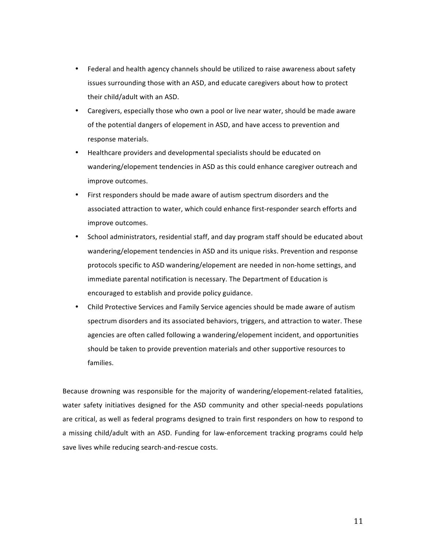- Federal and health agency channels should be utilized to raise awareness about safety issues surrounding those with an ASD, and educate caregivers about how to protect their child/adult with an ASD.
- Caregivers, especially those who own a pool or live near water, should be made aware of the potential dangers of elopement in ASD, and have access to prevention and response materials.
- Healthcare providers and developmental specialists should be educated on wandering/elopement tendencies in ASD as this could enhance caregiver outreach and improve outcomes.
- First responders should be made aware of autism spectrum disorders and the associated attraction to water, which could enhance first-responder search efforts and improve outcomes.
- School administrators, residential staff, and day program staff should be educated about wandering/elopement tendencies in ASD and its unique risks. Prevention and response protocols specific to ASD wandering/elopement are needed in non-home settings, and immediate parental notification is necessary. The Department of Education is encouraged to establish and provide policy guidance.
- Child Protective Services and Family Service agencies should be made aware of autism spectrum disorders and its associated behaviors, triggers, and attraction to water. These agencies are often called following a wandering/elopement incident, and opportunities should be taken to provide prevention materials and other supportive resources to families.'

Because drowning was responsible for the majority of wandering/elopement-related fatalities, water safety initiatives designed for the ASD community and other special-needs populations are critical, as well as federal programs designed to train first responders on how to respond to a missing child/adult with an ASD. Funding for law-enforcement tracking programs could help save lives while reducing search-and-rescue costs.